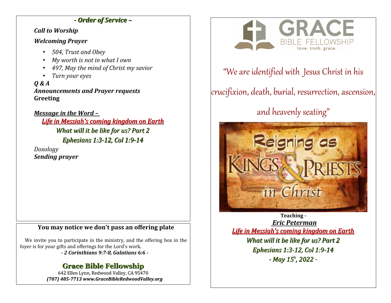## *- Order of Service –*

### *Call to Worship*

## *Welcoming Prayer*

- *504, Trust and Obey*
- *My worth is not in what I own*
- *497, May the mind of Christ my savior*
- *Turn your eyes*

*Q & A Announcements and Prayer requests* **Greeting**

*Message in the Word – Life in Messiah's coming kingdom on Earth What will it be like for us? Part 2 Ephesians 1:3-12, Col 1:9-14*

*Doxology Sending prayer*

# **You may notice we don't pass an offering plate**

We invite you to participate in the ministry, and the offering box in the foyer is for your gifts and offerings for the Lord's work.

*- 2 Corinthians 9:7-8, Galatians 6:6 -*

# **Grace Bible Fellowship**

642 Ellen Lynn, Redwood Valley, CA 95470 *(707) 485-7713 www.GraceBibleRedwoodValley.org*



# "We are identified with Jesus Christ in his

crucifixion, death, burial, resurrection, ascension,

# and heavenly seating"



**Teaching -**  *Eric Peterman Life in Messiah's coming kingdom on Earth What will it be like for us? Part 2 Ephesians 1:3-12, Col 1:9-14 - May 15<sup>h</sup> , 2022 -*